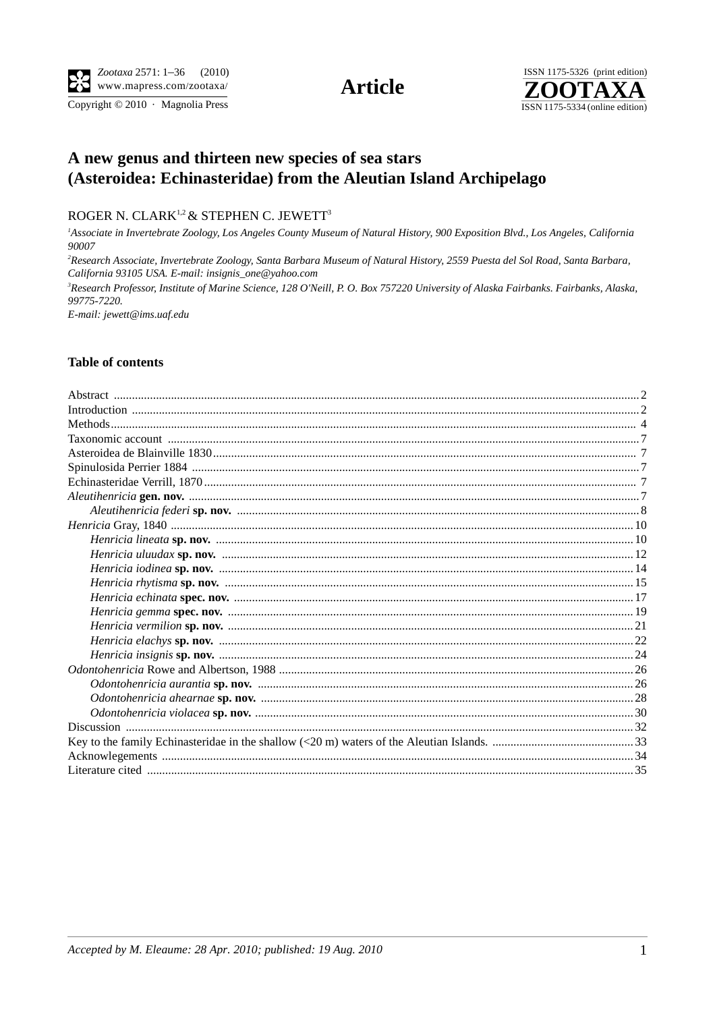Copyright © 2010 · Magnolia Press

**Article** 



## A new genus and thirteen new species of sea stars (Asteroidea: Echinasteridae) from the Aleutian Island Archipelago

ROGER N. CLARK<sup>1,2</sup> & STEPHEN C. JEWETT<sup>3</sup>

<sup>1</sup>Associate in Invertebrate Zoology, Los Angeles County Museum of Natural History, 900 Exposition Blvd., Los Angeles, California 90007

<sup>2</sup>Research Associate, Invertebrate Zoology, Santa Barbara Museum of Natural History, 2559 Puesta del Sol Road, Santa Barbara, California 93105 USA. E-mail: insignis\_one@yahoo.com

<sup>3</sup>Research Professor, Institute of Marine Science, 128 O'Neill, P. O. Box 757220 University of Alaska Fairbanks. Fairbanks, Alaska, 99775-7220.

E-mail: jewett@ims.uaf.edu

## **Table of contents**